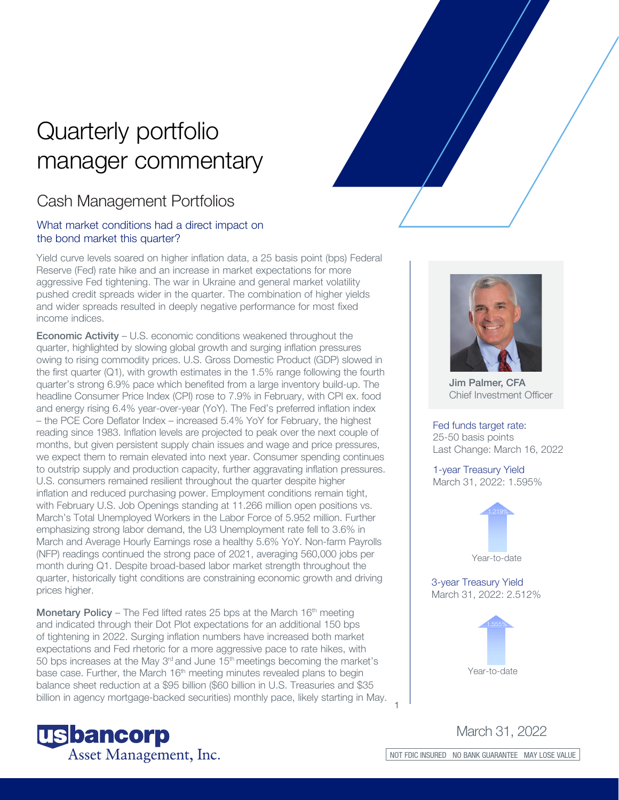# Quarterly portfolio manager commentary

# Cash Management Portfolios

# What market conditions had a direct impact on the bond market this quarter?

Yield curve levels soared on higher inflation data, a 25 basis point (bps) Federal Reserve (Fed) rate hike and an increase in market expectations for more aggressive Fed tightening. The war in Ukraine and general market volatility pushed credit spreads wider in the quarter. The combination of higher yields and wider spreads resulted in deeply negative performance for most fixed income indices.

**Economic Activity –** U.S. economic conditions weakened throughout the quarter, highlighted by slowing global growth and surging inflation pressures owing to rising commodity prices. U.S. Gross Domestic Product (GDP) slowed in the first quarter (Q1), with growth estimates in the 1.5% range following the fourth quarter's strong 6.9% pace which benefited from a large inventory build-up. The headline Consumer Price Index (CPI) rose to 7.9% in February, with CPI ex. food and energy rising 6.4% year-over-year (YoY). The Fed's preferred inflation index – the PCE Core Deflator Index – increased 5.4% YoY for February, the highest reading since 1983. Inflation levels are projected to peak over the next couple of months, but given persistent supply chain issues and wage and price pressures, we expect them to remain elevated into next year. Consumer spending continues to outstrip supply and production capacity, further aggravating inflation pressures. U.S. consumers remained resilient throughout the quarter despite higher inflation and reduced purchasing power. Employment conditions remain tight, with February U.S. Job Openings standing at 11.266 million open positions vs. March's Total Unemployed Workers in the Labor Force of 5.952 million. Further emphasizing strong labor demand, the U3 Unemployment rate fell to 3.6% in March and Average Hourly Earnings rose a healthy 5.6% YoY. Non-farm Payrolls (NFP) readings continued the strong pace of 2021, averaging 560,000 jobs per month during Q1. Despite broad-based labor market strength throughout the quarter, historically tight conditions are constraining economic growth and driving prices higher.

**Monetary Policy** – The Fed lifted rates 25 bps at the March  $16<sup>th</sup>$  meeting and indicated through their Dot Plot expectations for an additional 150 bps of tightening in 2022. Surging inflation numbers have increased both market expectations and Fed rhetoric for a more aggressive pace to rate hikes, with 50 bps increases at the May  $3<sup>rd</sup>$  and June  $15<sup>th</sup>$  meetings becoming the market's base case. Further, the March 16<sup>th</sup> meeting minutes revealed plans to begin balance sheet reduction at a \$95 billion (\$60 billion in U.S. Treasuries and \$35 billion in agency mortgage-backed securities) monthly pace, likely starting in May.



Jim Palmer, CFA Chief Investment Officer

Fed funds target rate: 25-50 basis points Last Change: March 16, 2022

1-year Treasury Yield March 31, 2022: 1.595%



3-year Treasury Yield March 31, 2022: 2.512%





March 31, 2022

1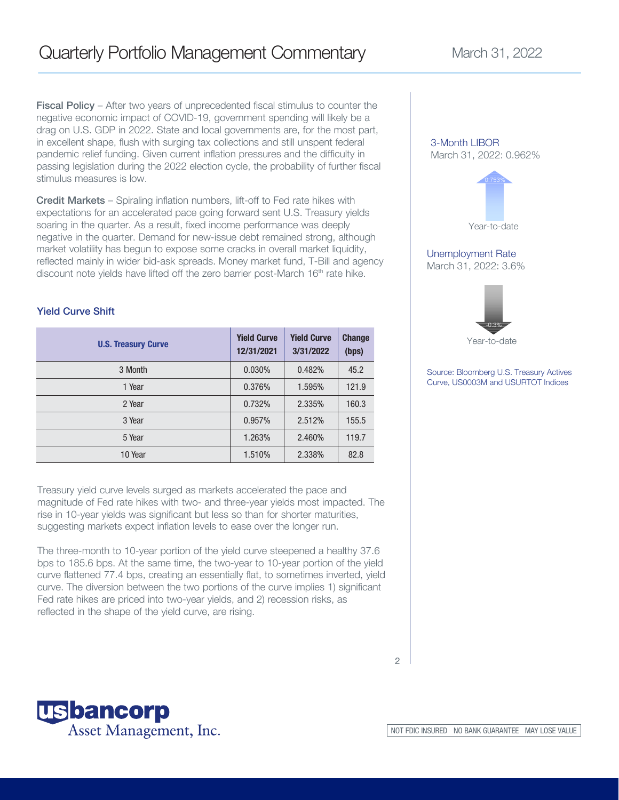Fiscal Policy – After two years of unprecedented fiscal stimulus to counter the negative economic impact of COVID-19, government spending will likely be a drag on U.S. GDP in 2022. State and local governments are, for the most part, in excellent shape, flush with surging tax collections and still unspent federal pandemic relief funding. Given current inflation pressures and the difficulty in passing legislation during the 2022 election cycle, the probability of further fiscal stimulus measures is low.

Credit Markets – Spiraling inflation numbers, lift-off to Fed rate hikes with expectations for an accelerated pace going forward sent U.S. Treasury yields soaring in the quarter. As a result, fixed income performance was deeply negative in the quarter. Demand for new-issue debt remained strong, although market volatility has begun to expose some cracks in overall market liquidity, reflected mainly in wider bid-ask spreads. Money market fund, T-Bill and agency discount note yields have lifted off the zero barrier post-March 16<sup>th</sup> rate hike.

### Yield Curve Shift

| <b>U.S. Treasury Curve</b> | <b>Yield Curve</b><br>12/31/2021 | <b>Yield Curve</b><br>3/31/2022 | <b>Change</b><br>(bps) |
|----------------------------|----------------------------------|---------------------------------|------------------------|
| 3 Month                    | 0.030%                           | 0.482%                          | 45.2                   |
| 1 Year                     | 0.376%                           | 1.595%                          | 121.9                  |
| 2 Year                     | 0.732%                           | 2.335%                          | 160.3                  |
| 3 Year                     | 0.957%                           | 2.512%                          | 155.5                  |
| 5 Year                     | 1.263%                           | 2.460%                          | 119.7                  |
| 10 Year                    | 1.510%                           | 2.338%                          | 82.8                   |

Treasury yield curve levels surged as markets accelerated the pace and magnitude of Fed rate hikes with two- and three-year yields most impacted. The rise in 10-year yields was significant but less so than for shorter maturities, suggesting markets expect inflation levels to ease over the longer run.

The three-month to 10-year portion of the yield curve steepened a healthy 37.6 bps to 185.6 bps. At the same time, the two-year to 10-year portion of the yield curve flattened 77.4 bps, creating an essentially flat, to sometimes inverted, yield curve. The diversion between the two portions of the curve implies 1) significant Fed rate hikes are priced into two-year yields, and 2) recession risks, as reflected in the shape of the yield curve, are rising.



3-Month LIBOR

Year-to-date

Unemployment Rate March 31, 2022: 3.6%

> Year-to-date -0.3%

Source: Bloomberg U.S. Treasury Actives Curve, US0003M and USURTOT Indices



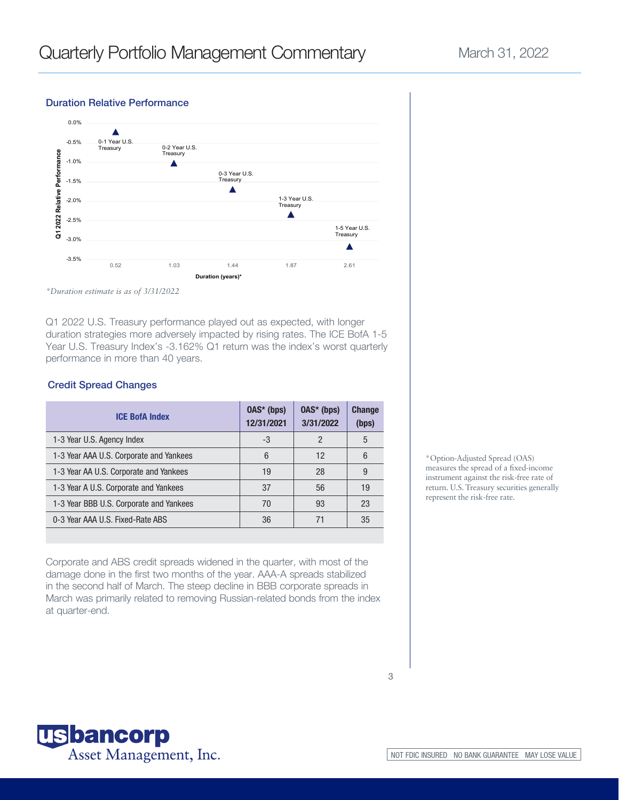#### Duration Relative Performance



*<sup>\*</sup>Duration estimate is as of 3/31/2022*

Q1 2022 U.S. Treasury performance played out as expected, with longer duration strategies more adversely impacted by rising rates. The ICE BofA 1-5 Year U.S. Treasury Index's -3.162% Q1 return was the index's worst quarterly performance in more than 40 years.

## Credit Spread Changes

| <b>ICE BofA Index</b>                   | $0AS*$ (bps)<br>12/31/2021 | $0AS*$ (bps)<br>3/31/2022 | <b>Change</b><br>(bps) |
|-----------------------------------------|----------------------------|---------------------------|------------------------|
| 1-3 Year U.S. Agency Index              | -3                         | $\mathcal P$              | 5                      |
| 1-3 Year AAA U.S. Corporate and Yankees | 6                          | 12                        | 6                      |
| 1-3 Year AA U.S. Corporate and Yankees  | 19                         | 28                        | 9                      |
| 1-3 Year A U.S. Corporate and Yankees   | 37                         | 56                        | 19                     |
| 1-3 Year BBB U.S. Corporate and Yankees | 70                         | 93                        | 23                     |
| 0-3 Year AAA U.S. Fixed-Rate ABS        | 36                         | 71                        | 35                     |
|                                         |                            |                           |                        |

Corporate and ABS credit spreads widened in the quarter, with most of the damage done in the first two months of the year. AAA-A spreads stabilized in the second half of March. The steep decline in BBB corporate spreads in March was primarily related to removing Russian-related bonds from the index at quarter-end.

\*Option-Adjusted Spread (OAS) measures the spread of a fixed-income instrument against the risk-free rate of return. U.S. Treasury securities generally represent the risk-free rate.

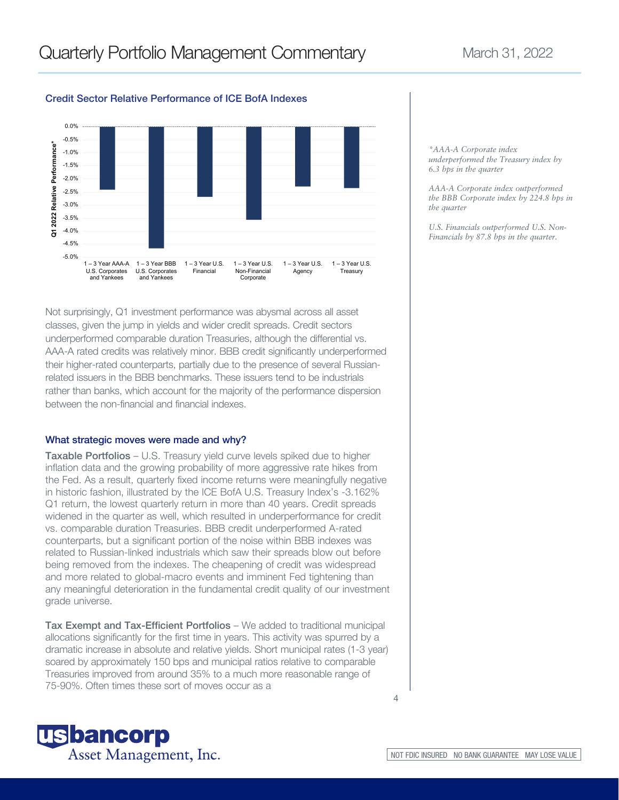# Credit Sector Relative Performance of ICE BofA Indexes



Not surprisingly, Q1 investment performance was abysmal across all asset classes, given the jump in yields and wider credit spreads. Credit sectors underperformed comparable duration Treasuries, although the differential vs. AAA-A rated credits was relatively minor. BBB credit significantly underperformed their higher-rated counterparts, partially due to the presence of several Russianrelated issuers in the BBB benchmarks. These issuers tend to be industrials rather than banks, which account for the majority of the performance dispersion between the non-financial and financial indexes.

#### What strategic moves were made and why?

Taxable Portfolios - U.S. Treasury yield curve levels spiked due to higher inflation data and the growing probability of more aggressive rate hikes from the Fed. As a result, quarterly fixed income returns were meaningfully negative in historic fashion, illustrated by the ICE BofA U.S. Treasury Index's -3.162% Q1 return, the lowest quarterly return in more than 40 years. Credit spreads widened in the quarter as well, which resulted in underperformance for credit vs. comparable duration Treasuries. BBB credit underperformed A-rated counterparts, but a significant portion of the noise within BBB indexes was related to Russian-linked industrials which saw their spreads blow out before being removed from the indexes. The cheapening of credit was widespread and more related to global-macro events and imminent Fed tightening than any meaningful deterioration in the fundamental credit quality of our investment grade universe.

Tax Exempt and Tax-Efficient Portfolios – We added to traditional municipal allocations significantly for the first time in years. This activity was spurred by a dramatic increase in absolute and relative yields. Short municipal rates (1-3 year) soared by approximately 150 bps and municipal ratios relative to comparable Treasuries improved from around 35% to a much more reasonable range of 75-90%. Often times these sort of moves occur as a



*AAA-A Corporate index outperformed the BBB Corporate index by 224.8 bps in the quarter*

*U.S. Financials outperformed U.S. Non-Financials by 87.8 bps in the quarter.*



4